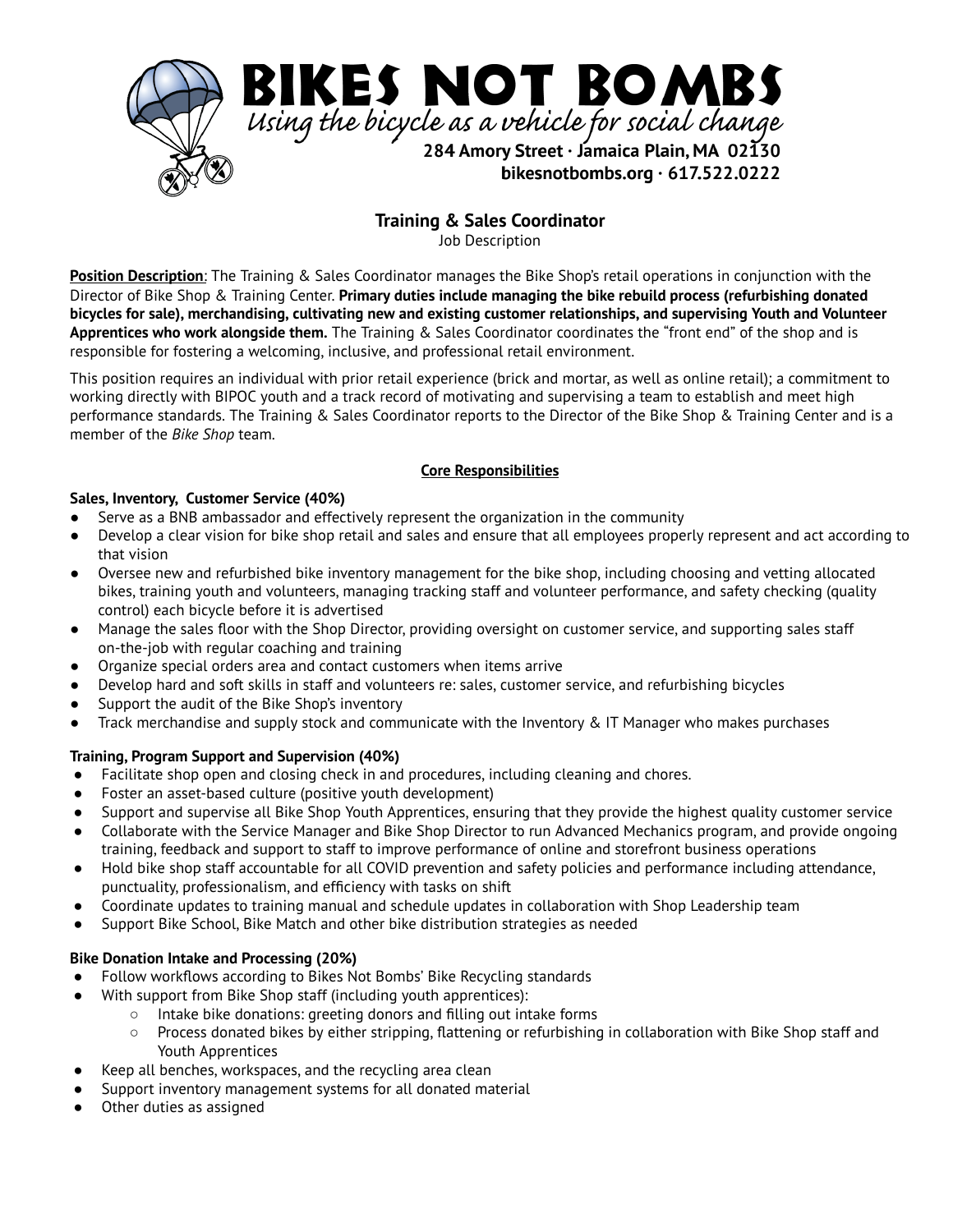

**Training & Sales Coordinator**

Job Description

**Position Description**: The Training & Sales Coordinator manages the Bike Shop's retail operations in conjunction with the Director of Bike Shop & Training Center. **Primary duties include managing the bike rebuild process (refurbishing donated** bicycles for sale), merchandising, cultivating new and existing customer relationships, and supervising Youth and Volunteer **Apprentices who work alongside them.** The Training & Sales Coordinator coordinates the "front end" of the shop and is responsible for fostering a welcoming, inclusive, and professional retail environment.

This position requires an individual with prior retail experience (brick and mortar, as well as online retail); a commitment to working directly with BIPOC youth and a track record of motivating and supervising a team to establish and meet high performance standards. The Training & Sales Coordinator reports to the Director of the Bike Shop & Training Center and is a member of the *Bike Shop* team.

# **Core Responsibilities**

# **Sales, Inventory, Customer Service (40%)**

- Serve as a BNB ambassador and effectively represent the organization in the community
- Develop a clear vision for bike shop retail and sales and ensure that all employees properly represent and act according to that vision
- Oversee new and refurbished bike inventory management for the bike shop, including choosing and vetting allocated bikes, training youth and volunteers, managing tracking staff and volunteer performance, and safety checking (quality control) each bicycle before it is advertised
- Manage the sales floor with the Shop Director, providing oversight on customer service, and supporting sales staff on-the-job with regular coaching and training
- Organize special orders area and contact customers when items arrive
- Develop hard and soft skills in staff and volunteers re: sales, customer service, and refurbishing bicycles
- Support the audit of the Bike Shop's inventory
- Track merchandise and supply stock and communicate with the Inventory & IT Manager who makes purchases

# **Training, Program Support and Supervision (40%)**

- Facilitate shop open and closing check in and procedures, including cleaning and chores.
- Foster an asset-based culture (positive youth development)
- Support and supervise all Bike Shop Youth Apprentices, ensuring that they provide the highest quality customer service
- Collaborate with the Service Manager and Bike Shop Director to run Advanced Mechanics program, and provide ongoing training, feedback and support to staff to improve performance of online and storefront business operations
- Hold bike shop staff accountable for all COVID prevention and safety policies and performance including attendance, punctuality, professionalism, and efficiency with tasks on shift
- Coordinate updates to training manual and schedule updates in collaboration with Shop Leadership team
- Support Bike School, Bike Match and other bike distribution strategies as needed

# **Bike Donation Intake and Processing (20%)**

- Follow workflows according to Bikes Not Bombs' Bike Recycling standards
- With support from Bike Shop staff (including youth apprentices):
	- Intake bike donations: greeting donors and filling out intake forms
		- Process donated bikes by either stripping, flattening or refurbishing in collaboration with Bike Shop staff and Youth Apprentices
- Keep all benches, workspaces, and the recycling area clean
- Support inventory management systems for all donated material
- Other duties as assigned